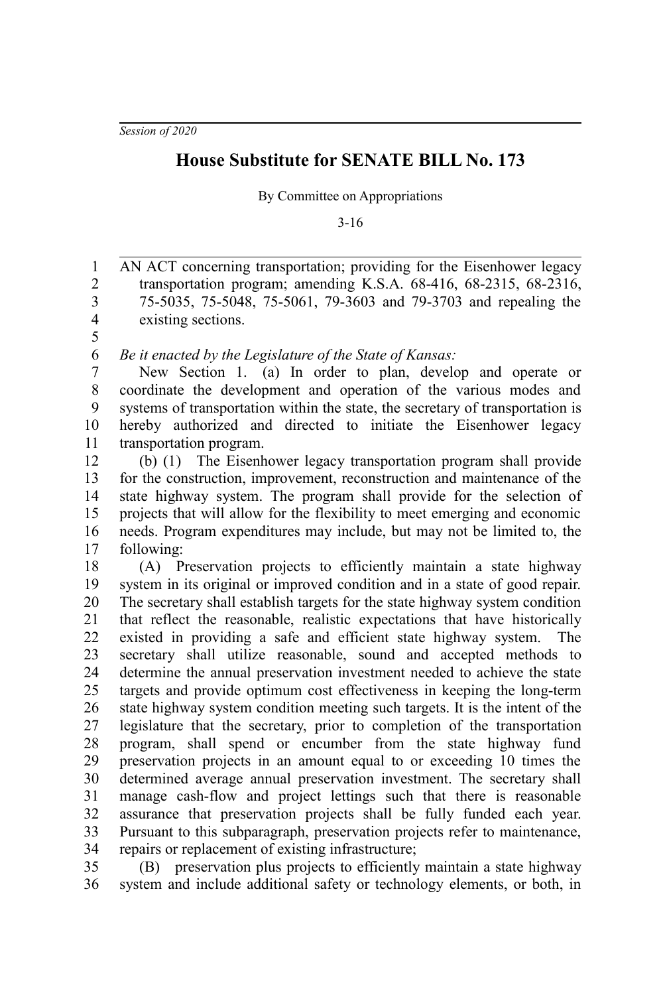*Session of 2020*

## **House Substitute for SENATE BILL No. 173**

By Committee on Appropriations

3-16

AN ACT concerning transportation; providing for the Eisenhower legacy transportation program; amending K.S.A. 68-416, 68-2315, 68-2316, 75-5035, 75-5048, 75-5061, 79-3603 and 79-3703 and repealing the existing sections. 1 2 3 4 5

*Be it enacted by the Legislature of the State of Kansas:* 6

New Section 1. (a) In order to plan, develop and operate or coordinate the development and operation of the various modes and systems of transportation within the state, the secretary of transportation is hereby authorized and directed to initiate the Eisenhower legacy transportation program. 7 8 9 10 11

(b) (1) The Eisenhower legacy transportation program shall provide for the construction, improvement, reconstruction and maintenance of the state highway system. The program shall provide for the selection of projects that will allow for the flexibility to meet emerging and economic needs. Program expenditures may include, but may not be limited to, the following: 12 13 14 15 16 17

(A) Preservation projects to efficiently maintain a state highway system in its original or improved condition and in a state of good repair. The secretary shall establish targets for the state highway system condition that reflect the reasonable, realistic expectations that have historically existed in providing a safe and efficient state highway system. The secretary shall utilize reasonable, sound and accepted methods to determine the annual preservation investment needed to achieve the state targets and provide optimum cost effectiveness in keeping the long-term state highway system condition meeting such targets. It is the intent of the legislature that the secretary, prior to completion of the transportation program, shall spend or encumber from the state highway fund preservation projects in an amount equal to or exceeding 10 times the determined average annual preservation investment. The secretary shall manage cash-flow and project lettings such that there is reasonable assurance that preservation projects shall be fully funded each year. Pursuant to this subparagraph, preservation projects refer to maintenance, repairs or replacement of existing infrastructure; 18 19 20 21 22 23 24 25 26 27 28 29 30 31 32 33 34

(B) preservation plus projects to efficiently maintain a state highway system and include additional safety or technology elements, or both, in 35 36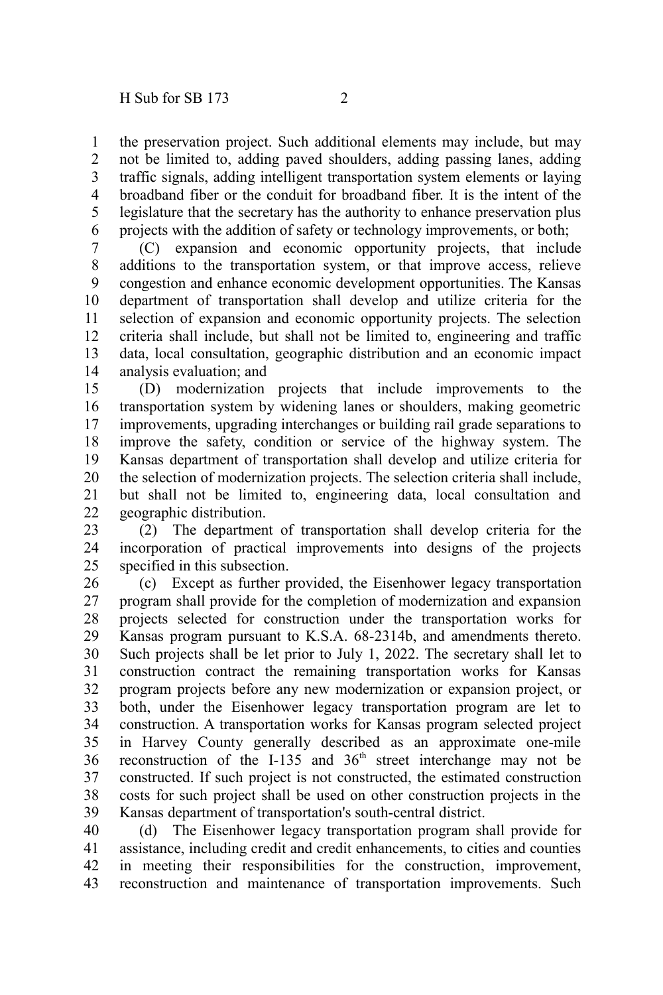the preservation project. Such additional elements may include, but may not be limited to, adding paved shoulders, adding passing lanes, adding traffic signals, adding intelligent transportation system elements or laying broadband fiber or the conduit for broadband fiber. It is the intent of the legislature that the secretary has the authority to enhance preservation plus projects with the addition of safety or technology improvements, or both; 1 2 3 4 5 6

(C) expansion and economic opportunity projects, that include additions to the transportation system, or that improve access, relieve congestion and enhance economic development opportunities. The Kansas department of transportation shall develop and utilize criteria for the selection of expansion and economic opportunity projects. The selection criteria shall include, but shall not be limited to, engineering and traffic data, local consultation, geographic distribution and an economic impact analysis evaluation; and 7 8 9 10 11 12 13 14

(D) modernization projects that include improvements to the transportation system by widening lanes or shoulders, making geometric improvements, upgrading interchanges or building rail grade separations to improve the safety, condition or service of the highway system. The Kansas department of transportation shall develop and utilize criteria for the selection of modernization projects. The selection criteria shall include, but shall not be limited to, engineering data, local consultation and geographic distribution. 15 16 17 18 19 20 21 22

(2) The department of transportation shall develop criteria for the incorporation of practical improvements into designs of the projects specified in this subsection. 23 24 25

(c) Except as further provided, the Eisenhower legacy transportation program shall provide for the completion of modernization and expansion projects selected for construction under the transportation works for Kansas program pursuant to K.S.A. 68-2314b, and amendments thereto. Such projects shall be let prior to July 1, 2022. The secretary shall let to construction contract the remaining transportation works for Kansas program projects before any new modernization or expansion project, or both, under the Eisenhower legacy transportation program are let to construction. A transportation works for Kansas program selected project in Harvey County generally described as an approximate one-mile reconstruction of the I-135 and 36<sup>th</sup> street interchange may not be constructed. If such project is not constructed, the estimated construction costs for such project shall be used on other construction projects in the Kansas department of transportation's south-central district. 26 27 28 29 30 31 32 33 34 35 36 37 38 39

(d) The Eisenhower legacy transportation program shall provide for assistance, including credit and credit enhancements, to cities and counties in meeting their responsibilities for the construction, improvement, reconstruction and maintenance of transportation improvements. Such 40 41 42 43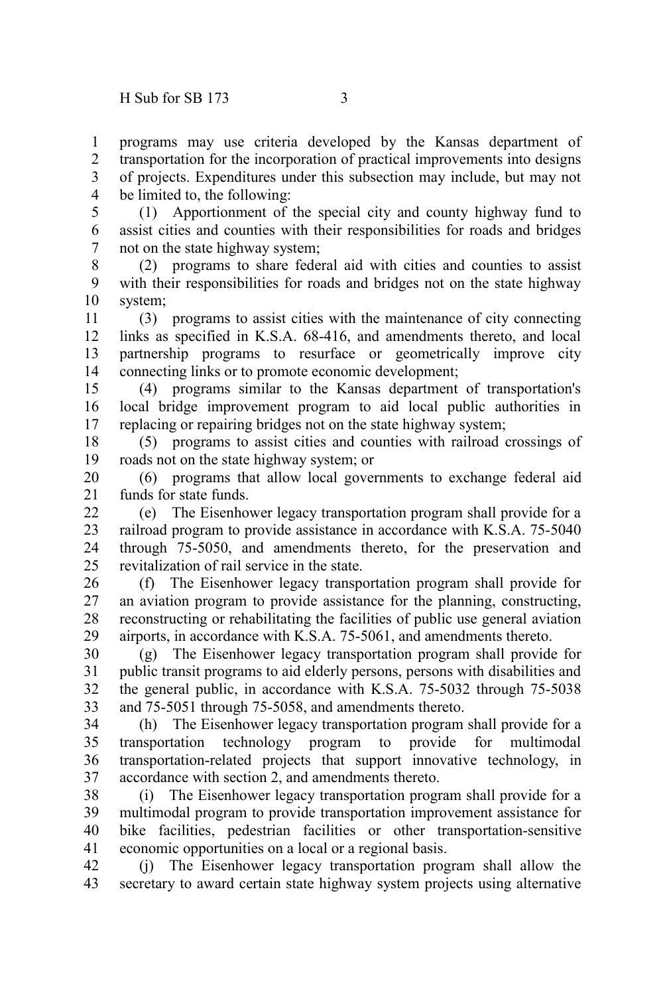programs may use criteria developed by the Kansas department of transportation for the incorporation of practical improvements into designs of projects. Expenditures under this subsection may include, but may not be limited to, the following: 1 2 3 4

(1) Apportionment of the special city and county highway fund to assist cities and counties with their responsibilities for roads and bridges not on the state highway system; 5 6 7

(2) programs to share federal aid with cities and counties to assist with their responsibilities for roads and bridges not on the state highway system; 8 9 10

(3) programs to assist cities with the maintenance of city connecting links as specified in K.S.A. 68-416, and amendments thereto, and local partnership programs to resurface or geometrically improve city connecting links or to promote economic development; 11 12 13 14

(4) programs similar to the Kansas department of transportation's local bridge improvement program to aid local public authorities in replacing or repairing bridges not on the state highway system; 15 16 17

(5) programs to assist cities and counties with railroad crossings of roads not on the state highway system; or 18 19

(6) programs that allow local governments to exchange federal aid funds for state funds. 20 21

(e) The Eisenhower legacy transportation program shall provide for a railroad program to provide assistance in accordance with K.S.A. 75-5040 through 75-5050, and amendments thereto, for the preservation and revitalization of rail service in the state.  $22$ 23 24 25

(f) The Eisenhower legacy transportation program shall provide for an aviation program to provide assistance for the planning, constructing, reconstructing or rehabilitating the facilities of public use general aviation airports, in accordance with K.S.A. 75-5061, and amendments thereto. 26 27 28 29

(g) The Eisenhower legacy transportation program shall provide for public transit programs to aid elderly persons, persons with disabilities and the general public, in accordance with K.S.A. 75-5032 through 75-5038 and 75-5051 through 75-5058, and amendments thereto. 30 31 32 33

(h) The Eisenhower legacy transportation program shall provide for a transportation technology program to provide for multimodal transportation-related projects that support innovative technology, in accordance with section 2, and amendments thereto. 34 35 36 37

(i) The Eisenhower legacy transportation program shall provide for a multimodal program to provide transportation improvement assistance for bike facilities, pedestrian facilities or other transportation-sensitive economic opportunities on a local or a regional basis. 38 39 40 41

(j) The Eisenhower legacy transportation program shall allow the secretary to award certain state highway system projects using alternative 42 43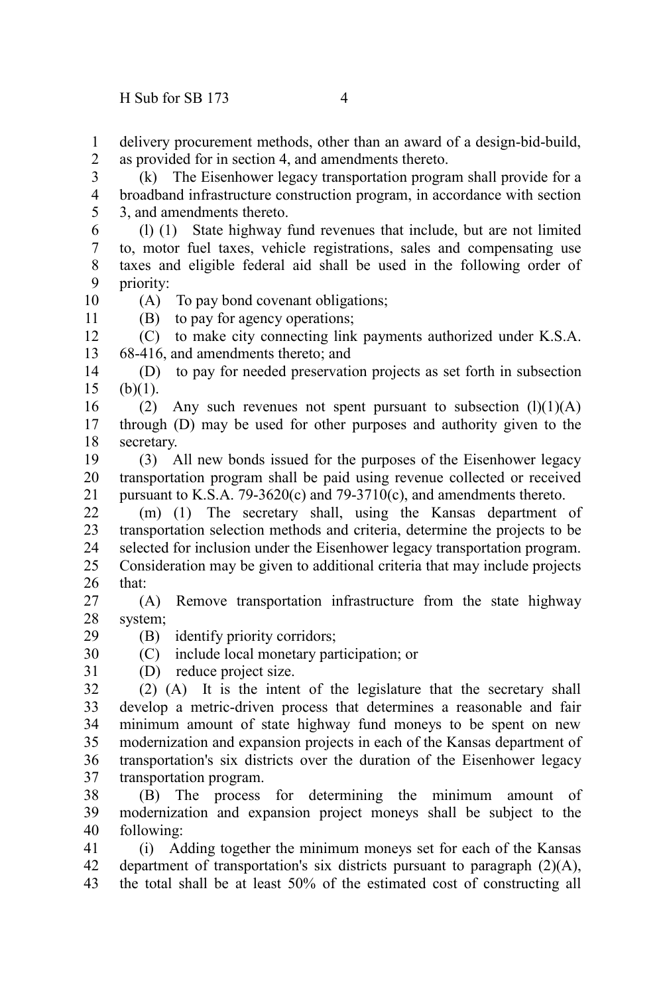delivery procurement methods, other than an award of a design-bid-build, as provided for in section 4, and amendments thereto. 1  $\mathcal{L}$ 

(k) The Eisenhower legacy transportation program shall provide for a broadband infrastructure construction program, in accordance with section 3, and amendments thereto. 3 4 5

(l) (1) State highway fund revenues that include, but are not limited to, motor fuel taxes, vehicle registrations, sales and compensating use taxes and eligible federal aid shall be used in the following order of priority: 6 7 8 9

10 11

(A) To pay bond covenant obligations; (B) to pay for agency operations;

(C) to make city connecting link payments authorized under K.S.A. 68-416, and amendments thereto; and 12 13

(D) to pay for needed preservation projects as set forth in subsection  $(b)(1)$ . 14 15

(2) Any such revenues not spent pursuant to subsection  $(l)(1)(A)$ through (D) may be used for other purposes and authority given to the secretary. 16 17 18

(3) All new bonds issued for the purposes of the Eisenhower legacy transportation program shall be paid using revenue collected or received pursuant to K.S.A. 79-3620(c) and 79-3710(c), and amendments thereto. 19 20 21

(m) (1) The secretary shall, using the Kansas department of transportation selection methods and criteria, determine the projects to be selected for inclusion under the Eisenhower legacy transportation program. Consideration may be given to additional criteria that may include projects that: 22 23 24 25 26

(A) Remove transportation infrastructure from the state highway system; 27 28

(B) identify priority corridors;

(C) include local monetary participation; or 30

(D) reduce project size. 31

29

(2) (A) It is the intent of the legislature that the secretary shall develop a metric-driven process that determines a reasonable and fair minimum amount of state highway fund moneys to be spent on new modernization and expansion projects in each of the Kansas department of transportation's six districts over the duration of the Eisenhower legacy transportation program. 32 33 34 35 36 37

(B) The process for determining the minimum amount of modernization and expansion project moneys shall be subject to the following: 38 39 40

(i) Adding together the minimum moneys set for each of the Kansas department of transportation's six districts pursuant to paragraph (2)(A), the total shall be at least 50% of the estimated cost of constructing all 41 42 43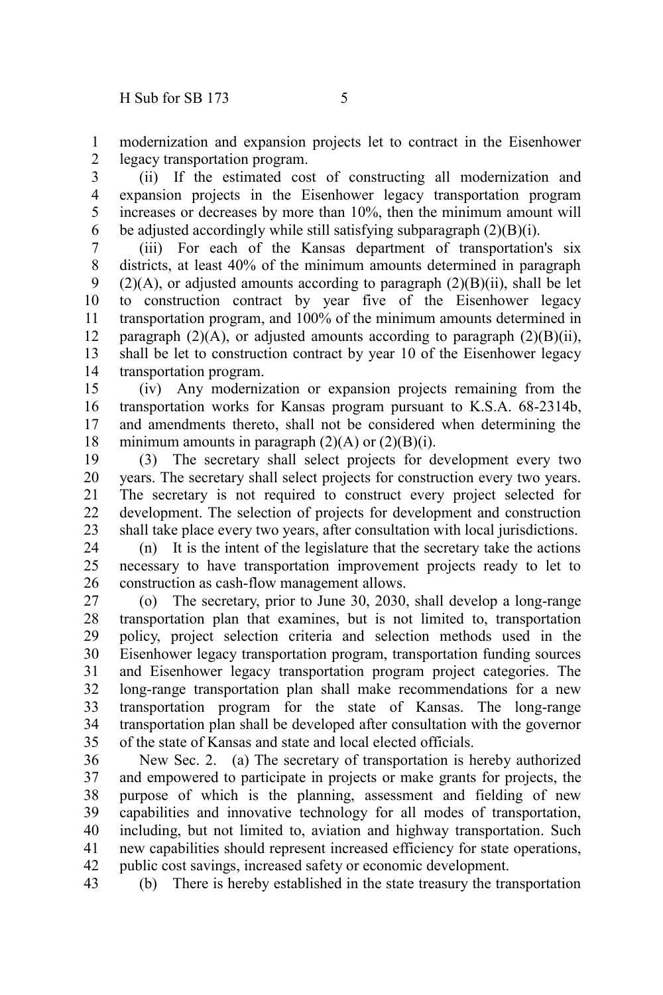modernization and expansion projects let to contract in the Eisenhower legacy transportation program. 1 2

(ii) If the estimated cost of constructing all modernization and expansion projects in the Eisenhower legacy transportation program increases or decreases by more than 10%, then the minimum amount will be adjusted accordingly while still satisfying subparagraph (2)(B)(i). 3 4 5 6

(iii) For each of the Kansas department of transportation's six districts, at least 40% of the minimum amounts determined in paragraph  $(2)(A)$ , or adjusted amounts according to paragraph  $(2)(B)(ii)$ , shall be let to construction contract by year five of the Eisenhower legacy transportation program, and 100% of the minimum amounts determined in paragraph  $(2)(A)$ , or adjusted amounts according to paragraph  $(2)(B)(ii)$ , shall be let to construction contract by year 10 of the Eisenhower legacy transportation program. 7 8 9 10 11 12 13 14

(iv) Any modernization or expansion projects remaining from the transportation works for Kansas program pursuant to K.S.A. 68-2314b, and amendments thereto, shall not be considered when determining the minimum amounts in paragraph  $(2)(A)$  or  $(2)(B)(i)$ . 15 16 17 18

(3) The secretary shall select projects for development every two years. The secretary shall select projects for construction every two years. The secretary is not required to construct every project selected for development. The selection of projects for development and construction shall take place every two years, after consultation with local jurisdictions. 19 20 21 22 23

(n) It is the intent of the legislature that the secretary take the actions necessary to have transportation improvement projects ready to let to construction as cash-flow management allows. 24 25 26

(o) The secretary, prior to June 30, 2030, shall develop a long-range transportation plan that examines, but is not limited to, transportation policy, project selection criteria and selection methods used in the Eisenhower legacy transportation program, transportation funding sources and Eisenhower legacy transportation program project categories. The long-range transportation plan shall make recommendations for a new transportation program for the state of Kansas. The long-range transportation plan shall be developed after consultation with the governor of the state of Kansas and state and local elected officials. 27 28 29 30 31 32 33 34 35

New Sec. 2. (a) The secretary of transportation is hereby authorized and empowered to participate in projects or make grants for projects, the purpose of which is the planning, assessment and fielding of new capabilities and innovative technology for all modes of transportation, including, but not limited to, aviation and highway transportation. Such new capabilities should represent increased efficiency for state operations, public cost savings, increased safety or economic development. 36 37 38 39 40 41 42

(b) There is hereby established in the state treasury the transportation 43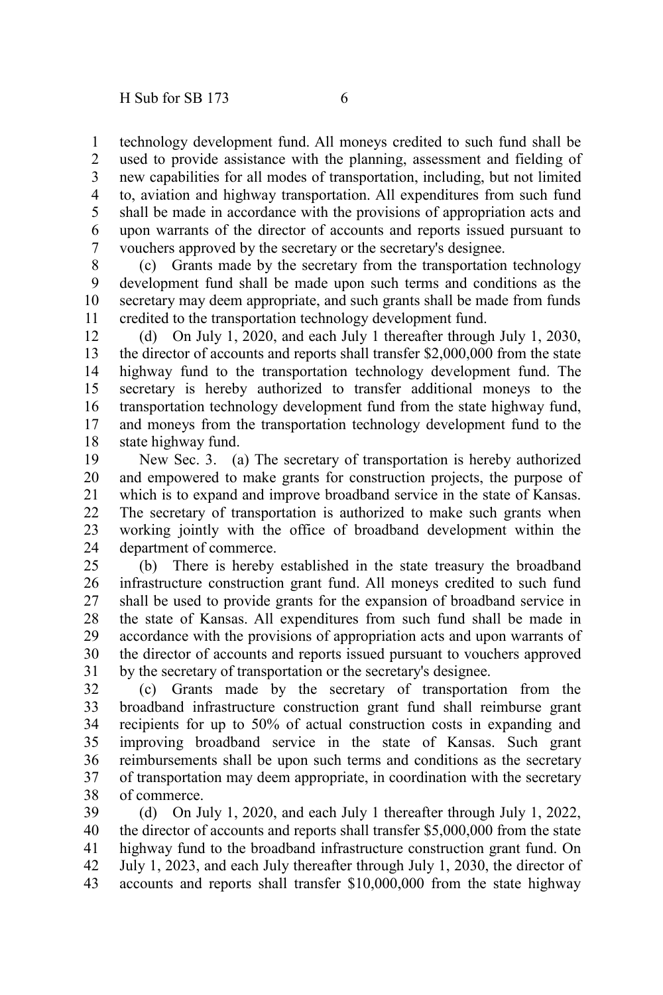technology development fund. All moneys credited to such fund shall be used to provide assistance with the planning, assessment and fielding of new capabilities for all modes of transportation, including, but not limited to, aviation and highway transportation. All expenditures from such fund shall be made in accordance with the provisions of appropriation acts and upon warrants of the director of accounts and reports issued pursuant to vouchers approved by the secretary or the secretary's designee. 1 2 3 4 5 6 7

(c) Grants made by the secretary from the transportation technology development fund shall be made upon such terms and conditions as the secretary may deem appropriate, and such grants shall be made from funds credited to the transportation technology development fund. 8 9 10 11

(d) On July 1, 2020, and each July 1 thereafter through July 1, 2030, the director of accounts and reports shall transfer \$2,000,000 from the state highway fund to the transportation technology development fund. The secretary is hereby authorized to transfer additional moneys to the transportation technology development fund from the state highway fund, and moneys from the transportation technology development fund to the state highway fund. 12 13 14 15 16 17 18

New Sec. 3. (a) The secretary of transportation is hereby authorized and empowered to make grants for construction projects, the purpose of which is to expand and improve broadband service in the state of Kansas. The secretary of transportation is authorized to make such grants when working jointly with the office of broadband development within the department of commerce. 19 20 21 22 23 24

(b) There is hereby established in the state treasury the broadband infrastructure construction grant fund. All moneys credited to such fund shall be used to provide grants for the expansion of broadband service in the state of Kansas. All expenditures from such fund shall be made in accordance with the provisions of appropriation acts and upon warrants of the director of accounts and reports issued pursuant to vouchers approved by the secretary of transportation or the secretary's designee. 25 26 27 28 29 30 31

(c) Grants made by the secretary of transportation from the broadband infrastructure construction grant fund shall reimburse grant recipients for up to 50% of actual construction costs in expanding and improving broadband service in the state of Kansas. Such grant reimbursements shall be upon such terms and conditions as the secretary of transportation may deem appropriate, in coordination with the secretary of commerce. 32 33 34 35 36 37 38

(d) On July 1, 2020, and each July 1 thereafter through July 1, 2022, the director of accounts and reports shall transfer \$5,000,000 from the state highway fund to the broadband infrastructure construction grant fund. On July 1, 2023, and each July thereafter through July 1, 2030, the director of accounts and reports shall transfer \$10,000,000 from the state highway 39 40 41 42 43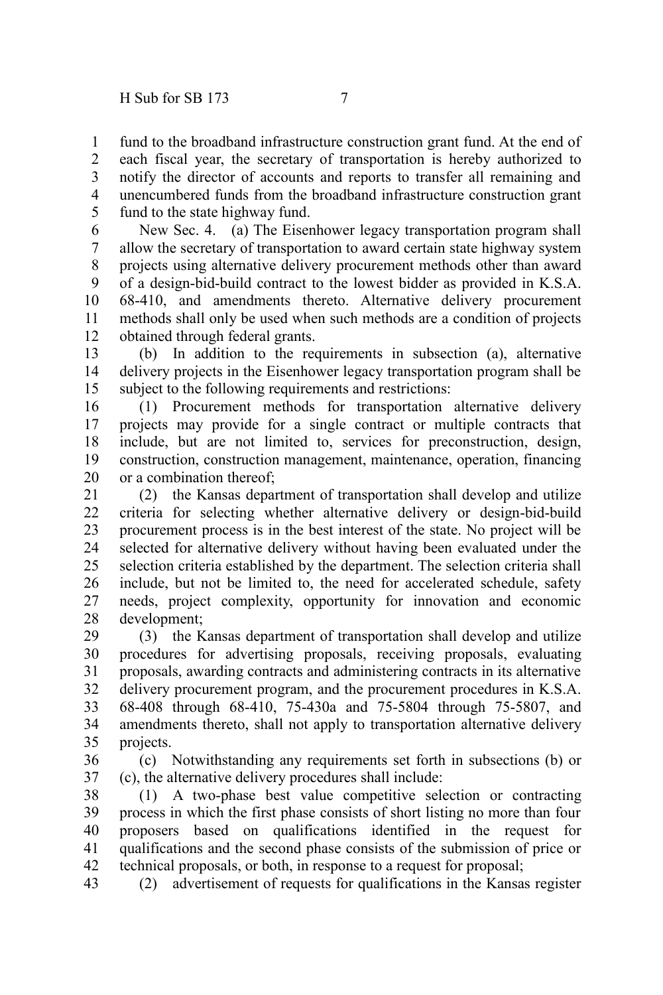fund to the broadband infrastructure construction grant fund. At the end of each fiscal year, the secretary of transportation is hereby authorized to notify the director of accounts and reports to transfer all remaining and unencumbered funds from the broadband infrastructure construction grant fund to the state highway fund. 1 2 3 4 5

New Sec. 4. (a) The Eisenhower legacy transportation program shall allow the secretary of transportation to award certain state highway system projects using alternative delivery procurement methods other than award of a design-bid-build contract to the lowest bidder as provided in K.S.A. 68-410, and amendments thereto. Alternative delivery procurement methods shall only be used when such methods are a condition of projects obtained through federal grants. 6 7 8 9 10 11 12

(b) In addition to the requirements in subsection (a), alternative delivery projects in the Eisenhower legacy transportation program shall be subject to the following requirements and restrictions: 13 14 15

(1) Procurement methods for transportation alternative delivery projects may provide for a single contract or multiple contracts that include, but are not limited to, services for preconstruction, design, construction, construction management, maintenance, operation, financing or a combination thereof; 16 17 18 19 20

(2) the Kansas department of transportation shall develop and utilize criteria for selecting whether alternative delivery or design-bid-build procurement process is in the best interest of the state. No project will be selected for alternative delivery without having been evaluated under the selection criteria established by the department. The selection criteria shall include, but not be limited to, the need for accelerated schedule, safety needs, project complexity, opportunity for innovation and economic development; 21 22 23 24 25 26 27 28

(3) the Kansas department of transportation shall develop and utilize procedures for advertising proposals, receiving proposals, evaluating proposals, awarding contracts and administering contracts in its alternative delivery procurement program, and the procurement procedures in K.S.A. 68-408 through 68-410, 75-430a and 75-5804 through 75-5807, and amendments thereto, shall not apply to transportation alternative delivery projects. 29 30 31 32 33 34 35

(c) Notwithstanding any requirements set forth in subsections (b) or (c), the alternative delivery procedures shall include: 36 37

(1) A two-phase best value competitive selection or contracting process in which the first phase consists of short listing no more than four proposers based on qualifications identified in the request for qualifications and the second phase consists of the submission of price or technical proposals, or both, in response to a request for proposal; 38 39 40 41 42

(2) advertisement of requests for qualifications in the Kansas register 43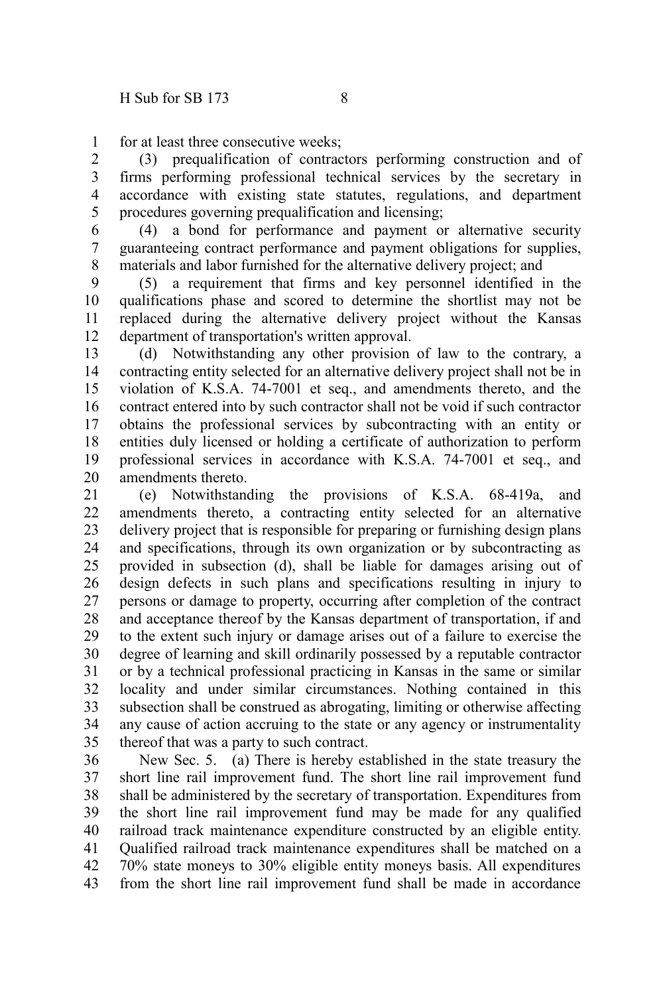for at least three consecutive weeks; 1

(3) prequalification of contractors performing construction and of firms performing professional technical services by the secretary in accordance with existing state statutes, regulations, and department procedures governing prequalification and licensing; 2 3 4 5

(4) a bond for performance and payment or alternative security guaranteeing contract performance and payment obligations for supplies, materials and labor furnished for the alternative delivery project; and 6 7 8

(5) a requirement that firms and key personnel identified in the qualifications phase and scored to determine the shortlist may not be replaced during the alternative delivery project without the Kansas department of transportation's written approval. 9 10 11 12

(d) Notwithstanding any other provision of law to the contrary, a contracting entity selected for an alternative delivery project shall not be in violation of K.S.A. 74-7001 et seq., and amendments thereto, and the contract entered into by such contractor shall not be void if such contractor obtains the professional services by subcontracting with an entity or entities duly licensed or holding a certificate of authorization to perform professional services in accordance with K.S.A. 74-7001 et seq., and amendments thereto. 13 14 15 16 17 18 19 20

(e) Notwithstanding the provisions of K.S.A. 68-419a, and amendments thereto, a contracting entity selected for an alternative delivery project that is responsible for preparing or furnishing design plans and specifications, through its own organization or by subcontracting as provided in subsection (d), shall be liable for damages arising out of design defects in such plans and specifications resulting in injury to persons or damage to property, occurring after completion of the contract and acceptance thereof by the Kansas department of transportation, if and to the extent such injury or damage arises out of a failure to exercise the degree of learning and skill ordinarily possessed by a reputable contractor or by a technical professional practicing in Kansas in the same or similar locality and under similar circumstances. Nothing contained in this subsection shall be construed as abrogating, limiting or otherwise affecting any cause of action accruing to the state or any agency or instrumentality thereof that was a party to such contract. 21 22 23 24 25 26 27 28 29 30 31 32 33 34 35

New Sec. 5. (a) There is hereby established in the state treasury the short line rail improvement fund. The short line rail improvement fund shall be administered by the secretary of transportation. Expenditures from the short line rail improvement fund may be made for any qualified railroad track maintenance expenditure constructed by an eligible entity. Qualified railroad track maintenance expenditures shall be matched on a 70% state moneys to 30% eligible entity moneys basis. All expenditures from the short line rail improvement fund shall be made in accordance 36 37 38 39 40 41 42 43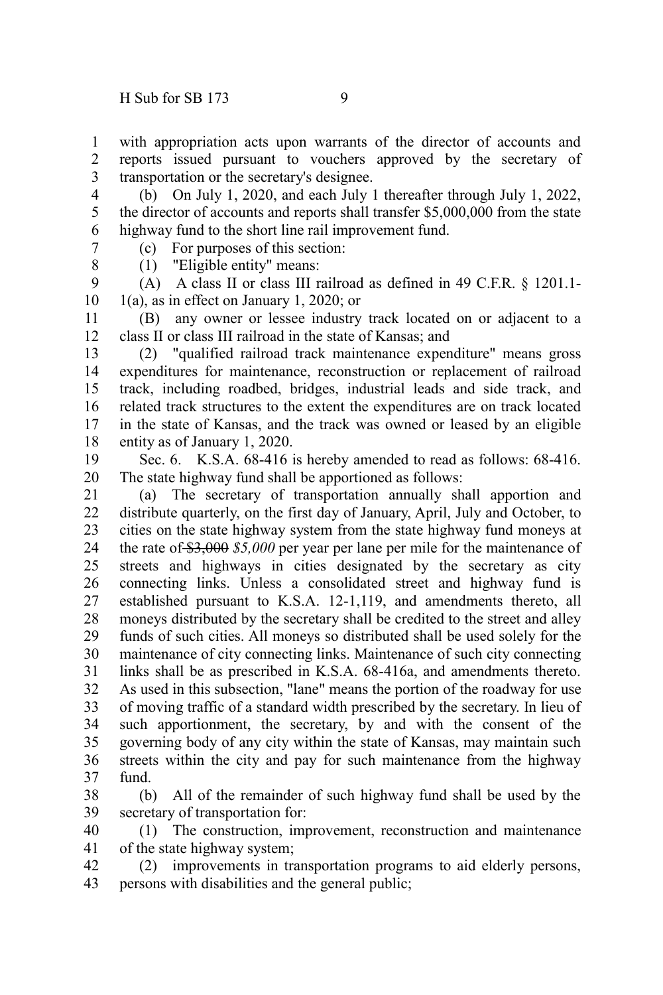(b) On July 1, 2020, and each July 1 thereafter through July 1, 2022, the director of accounts and reports shall transfer \$5,000,000 from the state highway fund to the short line rail improvement fund. 4 5 6 7

(c) For purposes of this section:

8

1

(1) "Eligible entity" means:

(A) A class II or class III railroad as defined in 49 C.F.R. § 1201.1- 1(a), as in effect on January 1, 2020; or 9 10

(B) any owner or lessee industry track located on or adjacent to a class II or class III railroad in the state of Kansas; and 11 12

(2) "qualified railroad track maintenance expenditure" means gross expenditures for maintenance, reconstruction or replacement of railroad track, including roadbed, bridges, industrial leads and side track, and related track structures to the extent the expenditures are on track located in the state of Kansas, and the track was owned or leased by an eligible entity as of January 1, 2020. 13 14 15 16 17 18

Sec. 6. K.S.A. 68-416 is hereby amended to read as follows: 68-416. The state highway fund shall be apportioned as follows: 19 20

(a) The secretary of transportation annually shall apportion and distribute quarterly, on the first day of January, April, July and October, to cities on the state highway system from the state highway fund moneys at the rate of \$3,000 *\$5,000* per year per lane per mile for the maintenance of streets and highways in cities designated by the secretary as city connecting links. Unless a consolidated street and highway fund is established pursuant to K.S.A. 12-1,119, and amendments thereto, all moneys distributed by the secretary shall be credited to the street and alley funds of such cities. All moneys so distributed shall be used solely for the maintenance of city connecting links. Maintenance of such city connecting links shall be as prescribed in K.S.A. 68-416a, and amendments thereto. As used in this subsection, "lane" means the portion of the roadway for use of moving traffic of a standard width prescribed by the secretary. In lieu of such apportionment, the secretary, by and with the consent of the governing body of any city within the state of Kansas, may maintain such streets within the city and pay for such maintenance from the highway fund. 21 22 23 24 25 26 27 28 29 30 31 32 33 34 35 36 37

(b) All of the remainder of such highway fund shall be used by the secretary of transportation for: 38 39

(1) The construction, improvement, reconstruction and maintenance of the state highway system; 40 41

(2) improvements in transportation programs to aid elderly persons, persons with disabilities and the general public; 42 43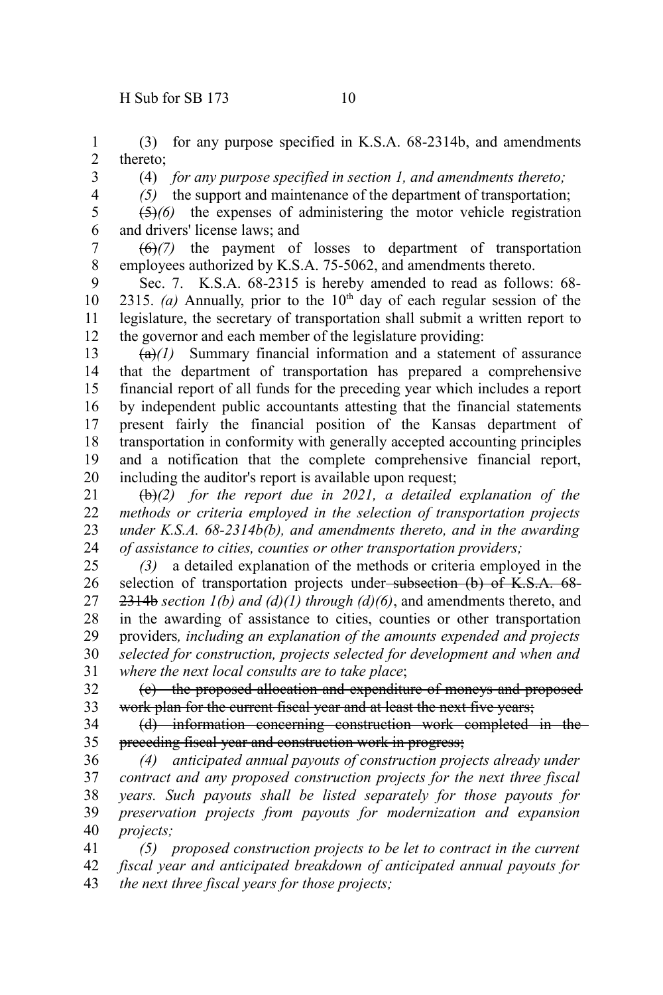(3) for any purpose specified in K.S.A. 68-2314b, and amendments thereto; 1 2

3 4 (4) *for any purpose specified in section 1, and amendments thereto;*

*(5)* the support and maintenance of the department of transportation;

(5)*(6)* the expenses of administering the motor vehicle registration and drivers' license laws; and 5 6

(6)*(7)* the payment of losses to department of transportation employees authorized by K.S.A. 75-5062, and amendments thereto. 7 8

Sec. 7. K.S.A. 68-2315 is hereby amended to read as follows: 68- 2315. (a) Annually, prior to the  $10<sup>th</sup>$  day of each regular session of the legislature, the secretary of transportation shall submit a written report to the governor and each member of the legislature providing: 9 10 11 12

 $(a)$  (a)<sup>(1)</sup> Summary financial information and a statement of assurance that the department of transportation has prepared a comprehensive financial report of all funds for the preceding year which includes a report by independent public accountants attesting that the financial statements present fairly the financial position of the Kansas department of transportation in conformity with generally accepted accounting principles and a notification that the complete comprehensive financial report, including the auditor's report is available upon request; 13 14 15 16 17 18 19 20

(b)*(2) for the report due in 2021, a detailed explanation of the methods or criteria employed in the selection of transportation projects under K.S.A. 68-2314b(b), and amendments thereto, and in the awarding of assistance to cities, counties or other transportation providers;* 21 22 23 24

*(3)* a detailed explanation of the methods or criteria employed in the selection of transportation projects under-subsection (b) of K.S.A. 68-2314b *section 1(b) and (d)(1) through (d)(6)*, and amendments thereto, and in the awarding of assistance to cities, counties or other transportation providers*, including an explanation of the amounts expended and projects selected for construction, projects selected for development and when and where the next local consults are to take place*; 25 26 27 28 29 30 31

(c) the proposed allocation and expenditure of moneys and proposed work plan for the current fiscal year and at least the next five years; 32 33

(d) information concerning construction work completed in the preceding fiscal year and construction work in progress; 34 35

*(4) anticipated annual payouts of construction projects already under contract and any proposed construction projects for the next three fiscal years. Such payouts shall be listed separately for those payouts for preservation projects from payouts for modernization and expansion projects;* 36 37 38 39 40

*(5) proposed construction projects to be let to contract in the current fiscal year and anticipated breakdown of anticipated annual payouts for the next three fiscal years for those projects;* 41 42 43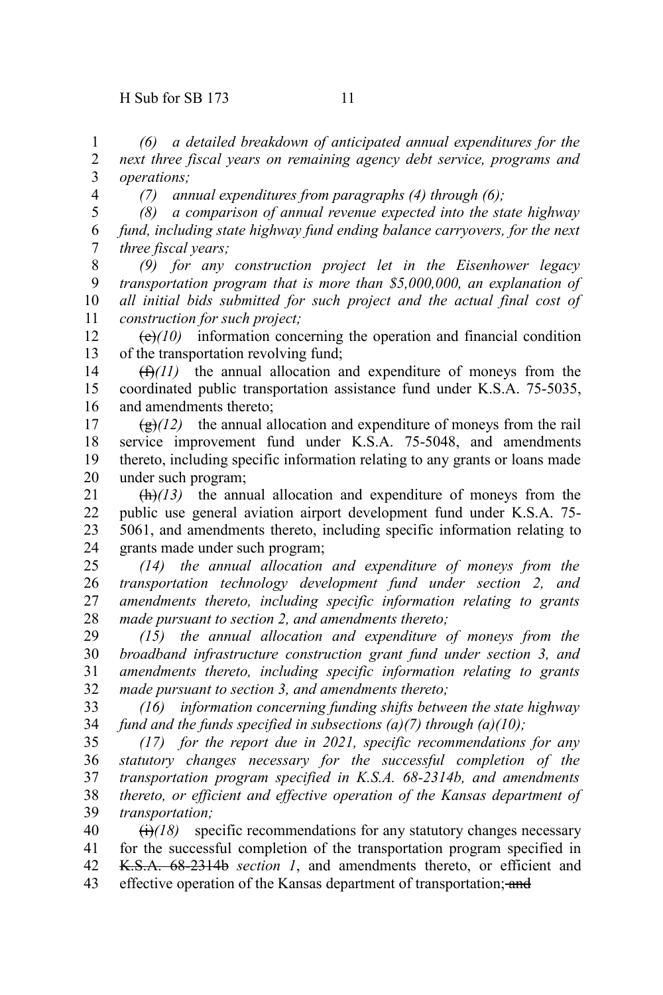*(6) a detailed breakdown of anticipated annual expenditures for the next three fiscal years on remaining agency debt service, programs and operations;* 1 2 3 4

*(7) annual expenditures from paragraphs (4) through (6);*

*(8) a comparison of annual revenue expected into the state highway fund, including state highway fund ending balance carryovers, for the next three fiscal years;* 5 6 7

*(9) for any construction project let in the Eisenhower legacy transportation program that is more than \$5,000,000, an explanation of all initial bids submitted for such project and the actual final cost of construction for such project;* 8 9 10 11

 $\left(\frac{\theta}{c}\right)$  information concerning the operation and financial condition of the transportation revolving fund; 12 13

 $(f)$ (11) the annual allocation and expenditure of moneys from the coordinated public transportation assistance fund under K.S.A. 75-5035, and amendments thereto; 14 15 16

 $\left(\frac{g}{g}\right)$  the annual allocation and expenditure of moneys from the rail service improvement fund under K.S.A. 75-5048, and amendments thereto, including specific information relating to any grants or loans made under such program; 17 18 19 20

(h)*(13)* the annual allocation and expenditure of moneys from the public use general aviation airport development fund under K.S.A. 75- 5061, and amendments thereto, including specific information relating to grants made under such program; 21 22 23 24

*(14) the annual allocation and expenditure of moneys from the transportation technology development fund under section 2, and amendments thereto, including specific information relating to grants made pursuant to section 2, and amendments thereto;* 25 26 27 28

*(15) the annual allocation and expenditure of moneys from the broadband infrastructure construction grant fund under section 3, and amendments thereto, including specific information relating to grants made pursuant to section 3, and amendments thereto;* 29 30 31 32

*(16) information concerning funding shifts between the state highway fund and the funds specified in subsections (a)(7) through (a)(10);* 33 34

*(17) for the report due in 2021, specific recommendations for any statutory changes necessary for the successful completion of the transportation program specified in K.S.A. 68-2314b, and amendments thereto, or efficient and effective operation of the Kansas department of transportation;* 35 36 37 38 39

 $\left(\frac{1}{2}\right)$  specific recommendations for any statutory changes necessary for the successful completion of the transportation program specified in K.S.A. 68-2314b *section 1*, and amendments thereto, or efficient and effective operation of the Kansas department of transportation; and 40 41 42 43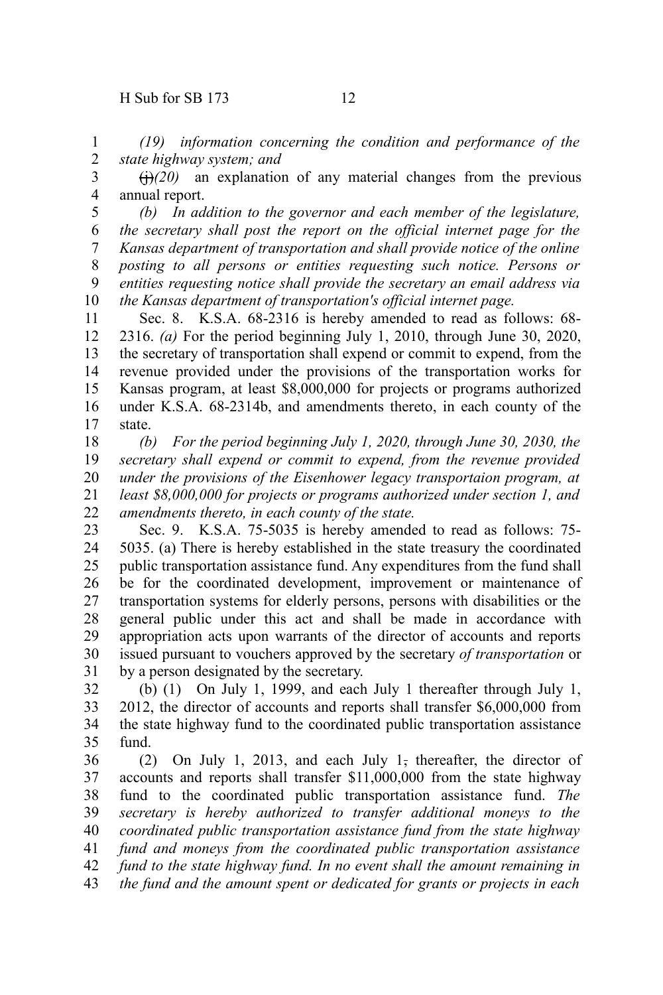*(19) information concerning the condition and performance of the state highway system; and* 1 2

 $\left(\frac{1}{20}\right)$  an explanation of any material changes from the previous annual report. 3 4

*(b) In addition to the governor and each member of the legislature, the secretary shall post the report on the official internet page for the Kansas department of transportation and shall provide notice of the online posting to all persons or entities requesting such notice. Persons or entities requesting notice shall provide the secretary an email address via the Kansas department of transportation's official internet page.* 5 6 7 8 9 10

Sec. 8. K.S.A. 68-2316 is hereby amended to read as follows: 68- 2316. *(a)* For the period beginning July 1, 2010, through June 30, 2020, the secretary of transportation shall expend or commit to expend, from the revenue provided under the provisions of the transportation works for Kansas program, at least \$8,000,000 for projects or programs authorized under K.S.A. 68-2314b, and amendments thereto, in each county of the state. 11 12 13 14 15 16 17

*(b) For the period beginning July 1, 2020, through June 30, 2030, the secretary shall expend or commit to expend, from the revenue provided under the provisions of the Eisenhower legacy transportaion program, at least \$8,000,000 for projects or programs authorized under section 1, and amendments thereto, in each county of the state.* 18 19 20 21 22

Sec. 9. K.S.A. 75-5035 is hereby amended to read as follows: 75- 5035. (a) There is hereby established in the state treasury the coordinated public transportation assistance fund. Any expenditures from the fund shall be for the coordinated development, improvement or maintenance of transportation systems for elderly persons, persons with disabilities or the general public under this act and shall be made in accordance with appropriation acts upon warrants of the director of accounts and reports issued pursuant to vouchers approved by the secretary *of transportation* or by a person designated by the secretary. 23 24 25 26 27 28 29 30 31

(b) (1) On July 1, 1999, and each July 1 thereafter through July 1, 2012, the director of accounts and reports shall transfer \$6,000,000 from the state highway fund to the coordinated public transportation assistance fund. 32 33 34 35

(2) On July 1, 2013, and each July  $1$ , thereafter, the director of accounts and reports shall transfer \$11,000,000 from the state highway fund to the coordinated public transportation assistance fund. *The secretary is hereby authorized to transfer additional moneys to the coordinated public transportation assistance fund from the state highway fund and moneys from the coordinated public transportation assistance fund to the state highway fund. In no event shall the amount remaining in the fund and the amount spent or dedicated for grants or projects in each* 36 37 38 39 40 41 42 43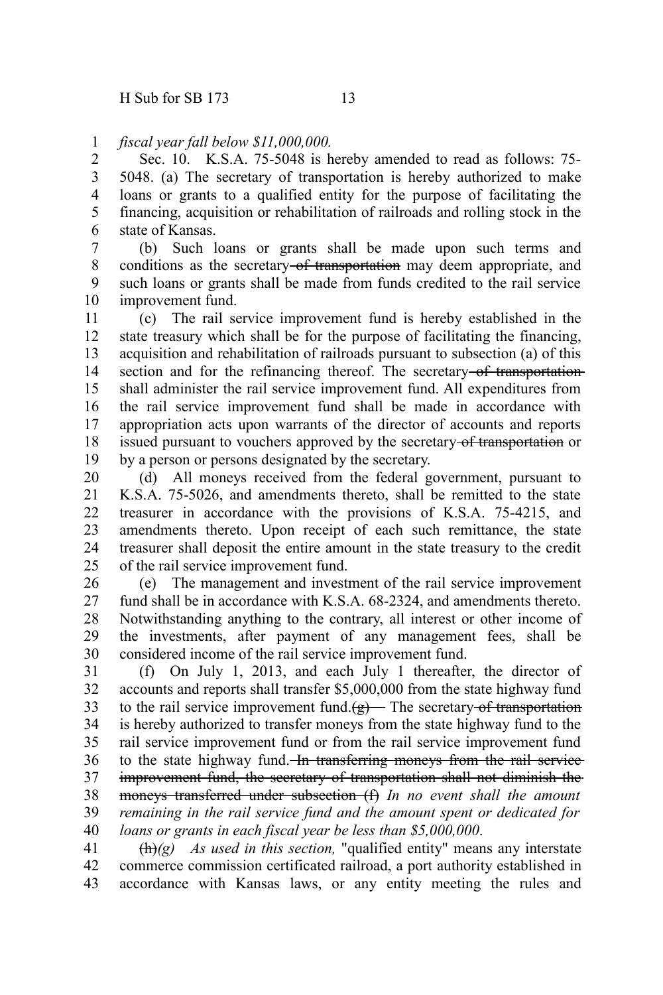## *fiscal year fall below \$11,000,000.* 1

Sec. 10. K.S.A. 75-5048 is hereby amended to read as follows: 75- 5048. (a) The secretary of transportation is hereby authorized to make loans or grants to a qualified entity for the purpose of facilitating the financing, acquisition or rehabilitation of railroads and rolling stock in the state of Kansas. 2 3 4 5 6

(b) Such loans or grants shall be made upon such terms and conditions as the secretary of transportation may deem appropriate, and such loans or grants shall be made from funds credited to the rail service improvement fund. 7 8 9 10

(c) The rail service improvement fund is hereby established in the state treasury which shall be for the purpose of facilitating the financing, acquisition and rehabilitation of railroads pursuant to subsection (a) of this section and for the refinancing thereof. The secretary of transportation shall administer the rail service improvement fund. All expenditures from the rail service improvement fund shall be made in accordance with appropriation acts upon warrants of the director of accounts and reports issued pursuant to vouchers approved by the secretary of transportation or by a person or persons designated by the secretary. 11 12 13 14 15 16 17 18 19

(d) All moneys received from the federal government, pursuant to K.S.A. 75-5026, and amendments thereto, shall be remitted to the state treasurer in accordance with the provisions of K.S.A. 75-4215, and amendments thereto. Upon receipt of each such remittance, the state treasurer shall deposit the entire amount in the state treasury to the credit of the rail service improvement fund. 20 21 22 23 24 25

(e) The management and investment of the rail service improvement fund shall be in accordance with K.S.A. 68-2324, and amendments thereto. Notwithstanding anything to the contrary, all interest or other income of the investments, after payment of any management fees, shall be considered income of the rail service improvement fund. 26 27 28 29 30

(f) On July 1, 2013, and each July 1 thereafter, the director of accounts and reports shall transfer \$5,000,000 from the state highway fund to the rail service improvement fund. $(g)$  The secretary of transportation is hereby authorized to transfer moneys from the state highway fund to the rail service improvement fund or from the rail service improvement fund to the state highway fund. In transferring moneys from the rail service improvement fund, the secretary of transportation shall not diminish the moneys transferred under subsection (f) *In no event shall the amount remaining in the rail service fund and the amount spent or dedicated for loans or grants in each fiscal year be less than \$5,000,000*. 31 32 33 34 35 36 37 38 39 40

 $\frac{f(h)}{g}$  *As used in this section*, "qualified entity" means any interstate commerce commission certificated railroad, a port authority established in accordance with Kansas laws, or any entity meeting the rules and 41 42 43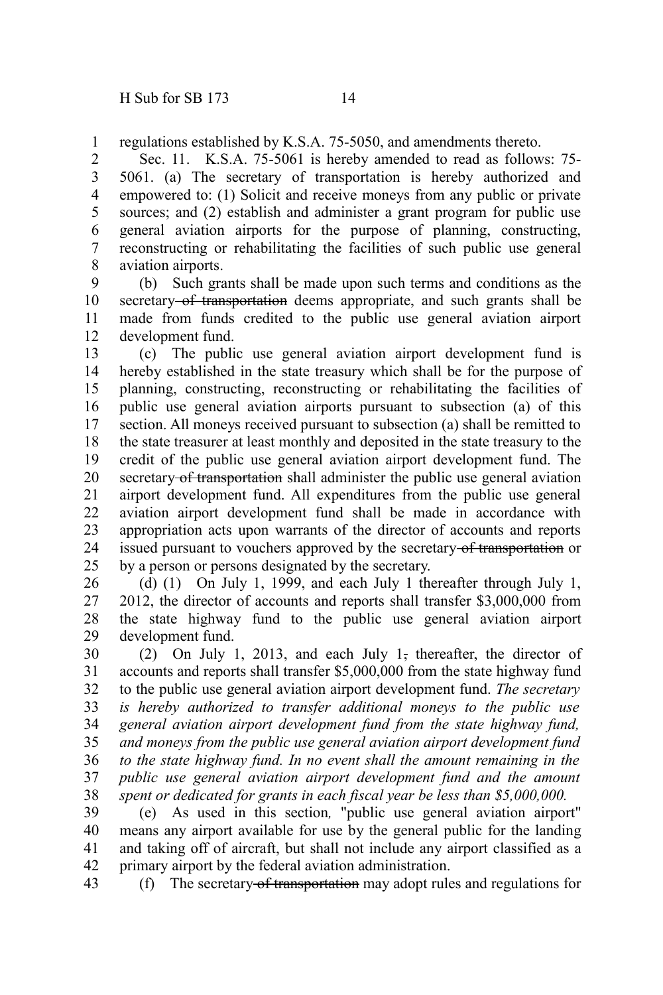regulations established by K.S.A. 75-5050, and amendments thereto. 1

Sec. 11. K.S.A. 75-5061 is hereby amended to read as follows: 75- 5061. (a) The secretary of transportation is hereby authorized and empowered to: (1) Solicit and receive moneys from any public or private sources; and (2) establish and administer a grant program for public use general aviation airports for the purpose of planning, constructing, reconstructing or rehabilitating the facilities of such public use general aviation airports. 2 3 4 5 6 7 8

(b) Such grants shall be made upon such terms and conditions as the secretary of transportation deems appropriate, and such grants shall be made from funds credited to the public use general aviation airport development fund. 9 10 11 12

(c) The public use general aviation airport development fund is hereby established in the state treasury which shall be for the purpose of planning, constructing, reconstructing or rehabilitating the facilities of public use general aviation airports pursuant to subsection (a) of this section. All moneys received pursuant to subsection (a) shall be remitted to the state treasurer at least monthly and deposited in the state treasury to the credit of the public use general aviation airport development fund. The secretary of transportation shall administer the public use general aviation airport development fund. All expenditures from the public use general aviation airport development fund shall be made in accordance with appropriation acts upon warrants of the director of accounts and reports issued pursuant to vouchers approved by the secretary-of transportation or by a person or persons designated by the secretary. 13 14 15 16 17 18 19 20 21 22 23 24 25

(d) (1) On July 1, 1999, and each July 1 thereafter through July 1, 2012, the director of accounts and reports shall transfer \$3,000,000 from the state highway fund to the public use general aviation airport development fund. 26 27 28 29

(2) On July 1, 2013, and each July 1, thereafter, the director of accounts and reports shall transfer \$5,000,000 from the state highway fund to the public use general aviation airport development fund. *The secretary is hereby authorized to transfer additional moneys to the public use general aviation airport development fund from the state highway fund, and moneys from the public use general aviation airport development fund to the state highway fund. In no event shall the amount remaining in the public use general aviation airport development fund and the amount spent or dedicated for grants in each fiscal year be less than \$5,000,000.* 30 31 32 33 34 35 36 37 38

(e) As used in this section*,* "public use general aviation airport" means any airport available for use by the general public for the landing and taking off of aircraft, but shall not include any airport classified as a primary airport by the federal aviation administration. 39 40 41 42

(f) The secretary of transportation may adopt rules and regulations for 43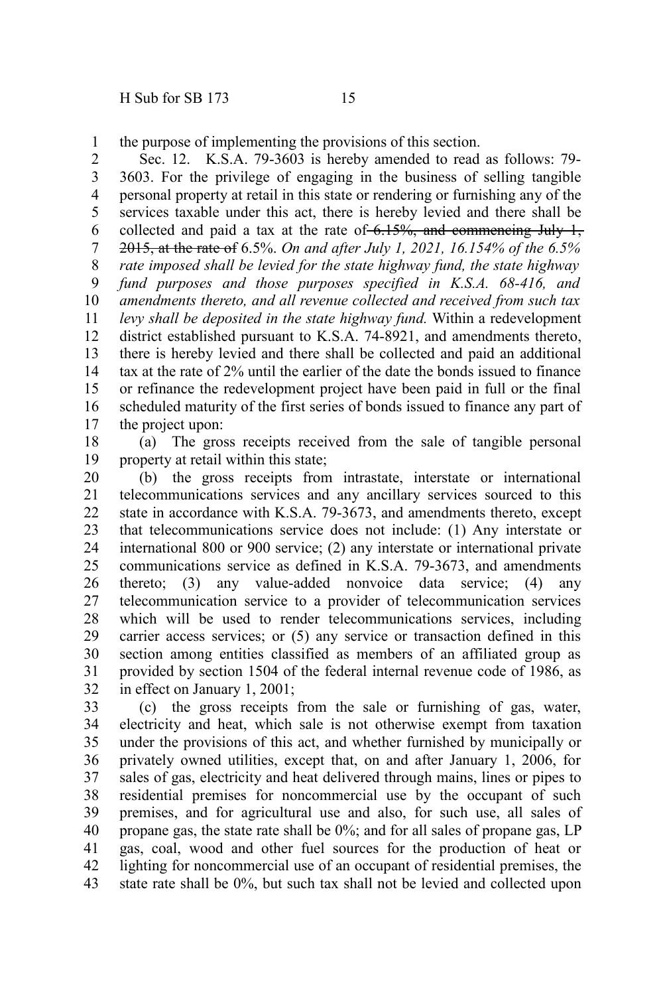the purpose of implementing the provisions of this section. 1

Sec. 12. K.S.A. 79-3603 is hereby amended to read as follows: 79- 3603. For the privilege of engaging in the business of selling tangible personal property at retail in this state or rendering or furnishing any of the services taxable under this act, there is hereby levied and there shall be collected and paid a tax at the rate of  $-6.15\%$ , and commencing July 1, 2015, at the rate of 6.5%. *On and after July 1, 2021, 16.154% of the 6.5% rate imposed shall be levied for the state highway fund, the state highway fund purposes and those purposes specified in K.S.A. 68-416, and amendments thereto, and all revenue collected and received from such tax levy shall be deposited in the state highway fund.* Within a redevelopment district established pursuant to K.S.A. 74-8921, and amendments thereto, there is hereby levied and there shall be collected and paid an additional tax at the rate of 2% until the earlier of the date the bonds issued to finance or refinance the redevelopment project have been paid in full or the final scheduled maturity of the first series of bonds issued to finance any part of the project upon: 2 3 4 5 6 7 8 9 10 11 12 13 14 15 16 17

(a) The gross receipts received from the sale of tangible personal property at retail within this state; 18 19

(b) the gross receipts from intrastate, interstate or international telecommunications services and any ancillary services sourced to this state in accordance with K.S.A. 79-3673, and amendments thereto, except that telecommunications service does not include: (1) Any interstate or international 800 or 900 service; (2) any interstate or international private communications service as defined in K.S.A. 79-3673, and amendments thereto; (3) any value-added nonvoice data service; (4) any telecommunication service to a provider of telecommunication services which will be used to render telecommunications services, including carrier access services; or (5) any service or transaction defined in this section among entities classified as members of an affiliated group as provided by section 1504 of the federal internal revenue code of 1986, as in effect on January 1, 2001; 20 21 22 23 24 25 26 27 28 29 30 31 32

(c) the gross receipts from the sale or furnishing of gas, water, electricity and heat, which sale is not otherwise exempt from taxation under the provisions of this act, and whether furnished by municipally or privately owned utilities, except that, on and after January 1, 2006, for sales of gas, electricity and heat delivered through mains, lines or pipes to residential premises for noncommercial use by the occupant of such premises, and for agricultural use and also, for such use, all sales of propane gas, the state rate shall be 0%; and for all sales of propane gas, LP gas, coal, wood and other fuel sources for the production of heat or lighting for noncommercial use of an occupant of residential premises, the state rate shall be 0%, but such tax shall not be levied and collected upon 33 34 35 36 37 38 39 40 41 42 43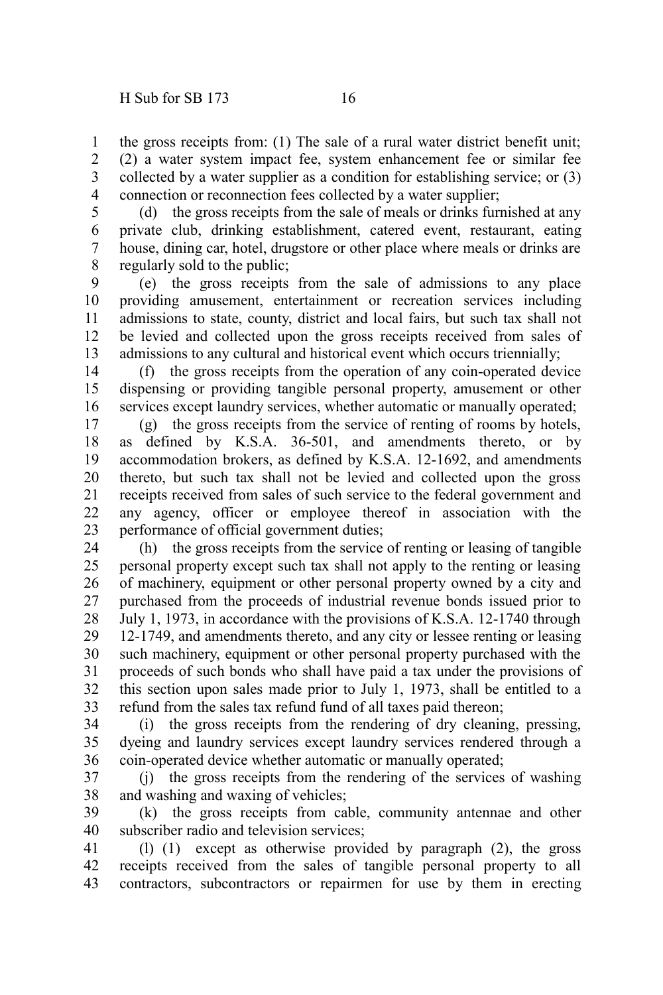the gross receipts from: (1) The sale of a rural water district benefit unit; (2) a water system impact fee, system enhancement fee or similar fee collected by a water supplier as a condition for establishing service; or (3) connection or reconnection fees collected by a water supplier; 1 2 3 4

(d) the gross receipts from the sale of meals or drinks furnished at any private club, drinking establishment, catered event, restaurant, eating house, dining car, hotel, drugstore or other place where meals or drinks are regularly sold to the public; 5 6 7 8

(e) the gross receipts from the sale of admissions to any place providing amusement, entertainment or recreation services including admissions to state, county, district and local fairs, but such tax shall not be levied and collected upon the gross receipts received from sales of admissions to any cultural and historical event which occurs triennially; 9 10 11 12 13

(f) the gross receipts from the operation of any coin-operated device dispensing or providing tangible personal property, amusement or other services except laundry services, whether automatic or manually operated; 14 15 16

(g) the gross receipts from the service of renting of rooms by hotels, as defined by K.S.A. 36-501, and amendments thereto, or by accommodation brokers, as defined by K.S.A. 12-1692, and amendments thereto, but such tax shall not be levied and collected upon the gross receipts received from sales of such service to the federal government and any agency, officer or employee thereof in association with the performance of official government duties; 17 18 19 20 21 22 23

(h) the gross receipts from the service of renting or leasing of tangible personal property except such tax shall not apply to the renting or leasing of machinery, equipment or other personal property owned by a city and purchased from the proceeds of industrial revenue bonds issued prior to July 1, 1973, in accordance with the provisions of K.S.A. 12-1740 through 12-1749, and amendments thereto, and any city or lessee renting or leasing such machinery, equipment or other personal property purchased with the proceeds of such bonds who shall have paid a tax under the provisions of this section upon sales made prior to July 1, 1973, shall be entitled to a refund from the sales tax refund fund of all taxes paid thereon; 24 25 26 27 28 29 30 31 32 33

(i) the gross receipts from the rendering of dry cleaning, pressing, dyeing and laundry services except laundry services rendered through a coin-operated device whether automatic or manually operated; 34 35 36

(j) the gross receipts from the rendering of the services of washing and washing and waxing of vehicles; 37 38

(k) the gross receipts from cable, community antennae and other subscriber radio and television services; 39 40

(l) (1) except as otherwise provided by paragraph (2), the gross receipts received from the sales of tangible personal property to all contractors, subcontractors or repairmen for use by them in erecting 41 42 43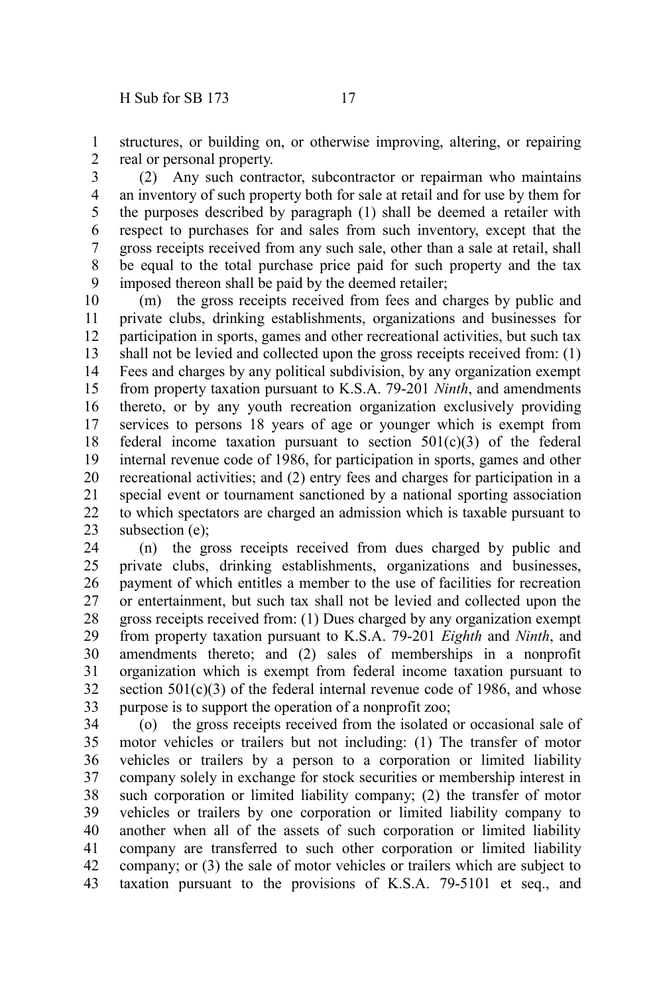structures, or building on, or otherwise improving, altering, or repairing real or personal property. 1 2

(2) Any such contractor, subcontractor or repairman who maintains an inventory of such property both for sale at retail and for use by them for the purposes described by paragraph (1) shall be deemed a retailer with respect to purchases for and sales from such inventory, except that the gross receipts received from any such sale, other than a sale at retail, shall be equal to the total purchase price paid for such property and the tax imposed thereon shall be paid by the deemed retailer; 3 4 5 6 7 8 9

(m) the gross receipts received from fees and charges by public and private clubs, drinking establishments, organizations and businesses for participation in sports, games and other recreational activities, but such tax shall not be levied and collected upon the gross receipts received from: (1) Fees and charges by any political subdivision, by any organization exempt from property taxation pursuant to K.S.A. 79-201 *Ninth*, and amendments thereto, or by any youth recreation organization exclusively providing services to persons 18 years of age or younger which is exempt from federal income taxation pursuant to section  $501(c)(3)$  of the federal internal revenue code of 1986, for participation in sports, games and other recreational activities; and (2) entry fees and charges for participation in a special event or tournament sanctioned by a national sporting association to which spectators are charged an admission which is taxable pursuant to subsection (e): 10 11 12 13 14 15 16 17 18 19 20 21 22 23

(n) the gross receipts received from dues charged by public and private clubs, drinking establishments, organizations and businesses, payment of which entitles a member to the use of facilities for recreation or entertainment, but such tax shall not be levied and collected upon the gross receipts received from: (1) Dues charged by any organization exempt from property taxation pursuant to K.S.A. 79-201 *Eighth* and *Ninth*, and amendments thereto; and (2) sales of memberships in a nonprofit organization which is exempt from federal income taxation pursuant to section  $501(c)(3)$  of the federal internal revenue code of 1986, and whose purpose is to support the operation of a nonprofit zoo; 24 25 26 27 28 29 30 31 32 33

(o) the gross receipts received from the isolated or occasional sale of motor vehicles or trailers but not including: (1) The transfer of motor vehicles or trailers by a person to a corporation or limited liability company solely in exchange for stock securities or membership interest in such corporation or limited liability company; (2) the transfer of motor vehicles or trailers by one corporation or limited liability company to another when all of the assets of such corporation or limited liability company are transferred to such other corporation or limited liability company; or (3) the sale of motor vehicles or trailers which are subject to taxation pursuant to the provisions of K.S.A. 79-5101 et seq., and 34 35 36 37 38 39 40 41 42 43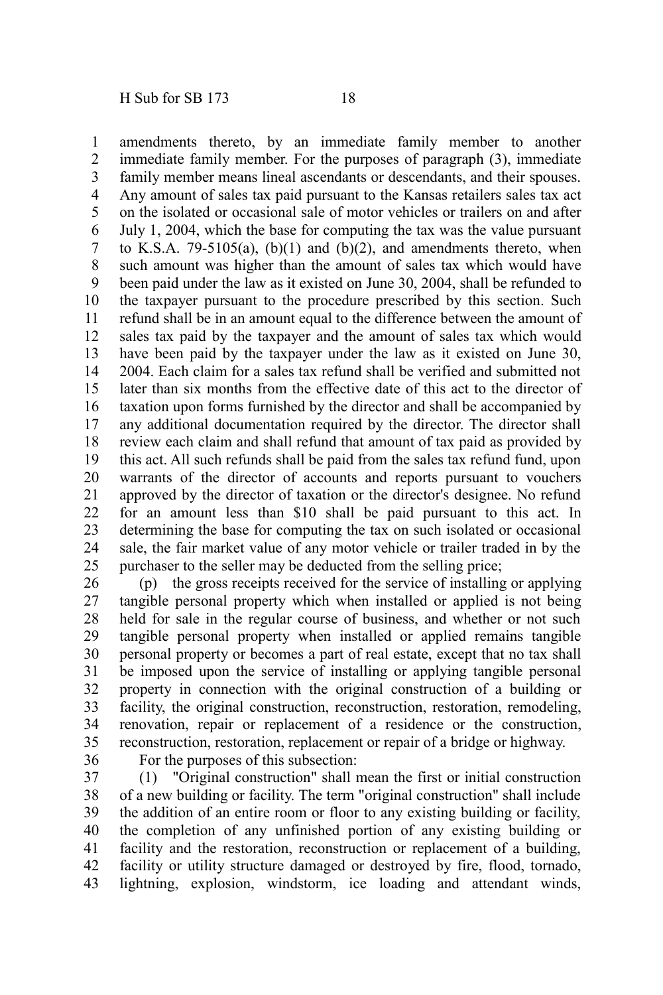amendments thereto, by an immediate family member to another immediate family member. For the purposes of paragraph (3), immediate family member means lineal ascendants or descendants, and their spouses. Any amount of sales tax paid pursuant to the Kansas retailers sales tax act on the isolated or occasional sale of motor vehicles or trailers on and after July 1, 2004, which the base for computing the tax was the value pursuant to K.S.A. 79-5105(a),  $(b)(1)$  and  $(b)(2)$ , and amendments thereto, when such amount was higher than the amount of sales tax which would have been paid under the law as it existed on June 30, 2004, shall be refunded to the taxpayer pursuant to the procedure prescribed by this section. Such refund shall be in an amount equal to the difference between the amount of sales tax paid by the taxpayer and the amount of sales tax which would have been paid by the taxpayer under the law as it existed on June 30, 2004. Each claim for a sales tax refund shall be verified and submitted not later than six months from the effective date of this act to the director of taxation upon forms furnished by the director and shall be accompanied by any additional documentation required by the director. The director shall review each claim and shall refund that amount of tax paid as provided by this act. All such refunds shall be paid from the sales tax refund fund, upon warrants of the director of accounts and reports pursuant to vouchers approved by the director of taxation or the director's designee. No refund for an amount less than \$10 shall be paid pursuant to this act. In determining the base for computing the tax on such isolated or occasional sale, the fair market value of any motor vehicle or trailer traded in by the purchaser to the seller may be deducted from the selling price; 1 2 3 4 5 6 7 8 9 10 11 12 13 14 15 16 17 18 19 20 21 22 23 24 25

(p) the gross receipts received for the service of installing or applying tangible personal property which when installed or applied is not being held for sale in the regular course of business, and whether or not such tangible personal property when installed or applied remains tangible personal property or becomes a part of real estate, except that no tax shall be imposed upon the service of installing or applying tangible personal property in connection with the original construction of a building or facility, the original construction, reconstruction, restoration, remodeling, renovation, repair or replacement of a residence or the construction, reconstruction, restoration, replacement or repair of a bridge or highway. 26 27 28 29 30 31 32 33 34 35

36

For the purposes of this subsection:

(1) "Original construction" shall mean the first or initial construction of a new building or facility. The term "original construction" shall include the addition of an entire room or floor to any existing building or facility, the completion of any unfinished portion of any existing building or facility and the restoration, reconstruction or replacement of a building, facility or utility structure damaged or destroyed by fire, flood, tornado, lightning, explosion, windstorm, ice loading and attendant winds, 37 38 39 40 41 42 43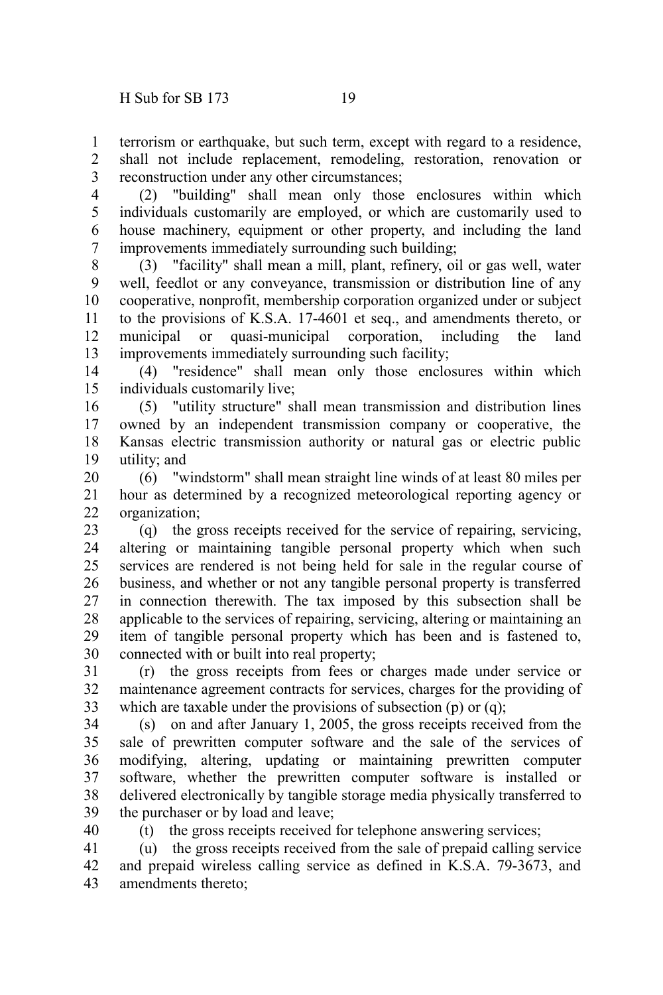terrorism or earthquake, but such term, except with regard to a residence, shall not include replacement, remodeling, restoration, renovation or reconstruction under any other circumstances; 1 2 3

(2) "building" shall mean only those enclosures within which individuals customarily are employed, or which are customarily used to house machinery, equipment or other property, and including the land improvements immediately surrounding such building; 4 5 6 7

(3) "facility" shall mean a mill, plant, refinery, oil or gas well, water well, feedlot or any conveyance, transmission or distribution line of any cooperative, nonprofit, membership corporation organized under or subject to the provisions of K.S.A. 17-4601 et seq., and amendments thereto, or municipal or quasi-municipal corporation, including the land improvements immediately surrounding such facility; 8 9 10 11 12 13

(4) "residence" shall mean only those enclosures within which individuals customarily live; 14 15

(5) "utility structure" shall mean transmission and distribution lines owned by an independent transmission company or cooperative, the Kansas electric transmission authority or natural gas or electric public utility; and 16 17 18 19

(6) "windstorm" shall mean straight line winds of at least 80 miles per hour as determined by a recognized meteorological reporting agency or organization; 20 21 22

(q) the gross receipts received for the service of repairing, servicing, altering or maintaining tangible personal property which when such services are rendered is not being held for sale in the regular course of business, and whether or not any tangible personal property is transferred in connection therewith. The tax imposed by this subsection shall be applicable to the services of repairing, servicing, altering or maintaining an item of tangible personal property which has been and is fastened to, connected with or built into real property; 23 24 25 26 27 28 29 30

(r) the gross receipts from fees or charges made under service or maintenance agreement contracts for services, charges for the providing of which are taxable under the provisions of subsection (p) or (q); 31 32 33

(s) on and after January 1, 2005, the gross receipts received from the sale of prewritten computer software and the sale of the services of modifying, altering, updating or maintaining prewritten computer software, whether the prewritten computer software is installed or delivered electronically by tangible storage media physically transferred to the purchaser or by load and leave; 34 35 36 37 38 39

40

(t) the gross receipts received for telephone answering services;

(u) the gross receipts received from the sale of prepaid calling service and prepaid wireless calling service as defined in K.S.A. 79-3673, and amendments thereto; 41 42 43